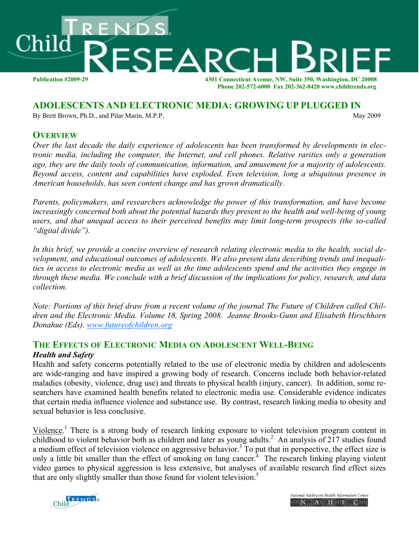

### **ADOLESCENTS AND ELECTRONIC MEDIA: GROWING UP PLUGGED IN**

By Brett Brown, Ph.D., and Pilar Marin, M.P.P. May 2009

# **OVERVIEW**

*Over the last decade the daily experience of adolescents has been transformed by developments in electronic media, including the computer, the Internet, and cell phones. Relative rarities only a generation ago, they are the daily tools of communication, information, and amusement for a majority of adolescents. Beyond access, content and capabilities have exploded. Even television, long a ubiquitous presence in American households, has seen content change and has grown dramatically.* 

*Parents, policymakers, and researchers acknowledge the power of this transformation, and have become increasingly concerned both about the potential hazards they present to the health and well-being of young users, and that unequal access to their perceived benefits may limit long-term prospects (the so-called "digital divide").* 

*In this brief, we provide a concise overview of research relating electronic media to the health, social development, and educational outcomes of adolescents. We also present data describing trends and inequalities in access to electronic media as well as the time adolescents spend and the activities they engage in through these media. We conclude with a brief discussion of the implications for policy, research, and data collection.* 

*Note: Portions of this brief draw from a recent volume of the journal The Future of Children called Children and the Electronic Media. Volume 18, Spring 2008. Jeanne Brooks-Gunn and Elisabeth Hirschhorn Donahue (Eds). www.futureofchildren.org* 

# **THE EFFECTS OF ELECTRONIC MEDIA ON ADOLESCENT WELL-BEING** *Health and Safety*

Health and safety concerns potentially related to the use of electronic media by children and adolescents are wide-ranging and have inspired a growing body of research. Concerns include both behavior-related maladies (obesity, violence, drug use) and threats to physical health (injury, cancer). In addition, some researchers have examined health benefits related to electronic media use. Considerable evidence indicates that certain media influence violence and substance use. By contrast, research linking media to obesity and sexual behavior is less conclusive.

Violence.<sup>1</sup> There is a strong body of research linking exposure to violent television program content in childhood to violent behavior both as children and later as young adults.<sup>2</sup> An analysis of 217 studies found a medium effect of television violence on aggressive behavior.<sup>3</sup> To put that in perspective, the effect size is only a little bit smaller than the effect of smoking on lung cancer. $4$  The research linking playing violent video games to physical aggression is less extensive, but analyses of available research find effect sizes that are only slightly smaller than those found for violent television.<sup>5</sup>



National Adolescent Health Information Center AHIN HAHICHNAHICAHI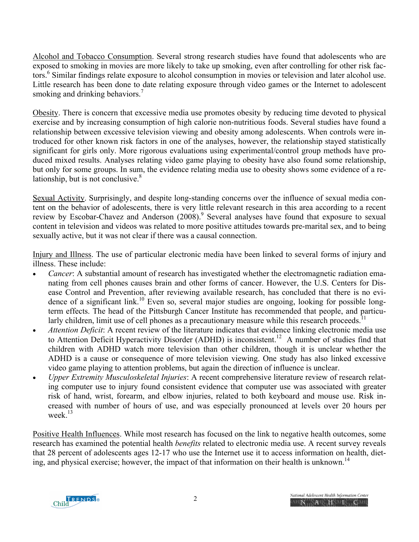Alcohol and Tobacco Consumption. Several strong research studies have found that adolescents who are exposed to smoking in movies are more likely to take up smoking, even after controlling for other risk factors.<sup>6</sup> Similar findings relate exposure to alcohol consumption in movies or television and later alcohol use. Little research has been done to date relating exposure through video games or the Internet to adolescent smoking and drinking behaviors.<sup>7</sup>

Obesity. There is concern that excessive media use promotes obesity by reducing time devoted to physical exercise and by increasing consumption of high calorie non-nutritious foods. Several studies have found a relationship between excessive television viewing and obesity among adolescents. When controls were introduced for other known risk factors in one of the analyses, however, the relationship stayed statistically significant for girls only. More rigorous evaluations using experimental/control group methods have produced mixed results. Analyses relating video game playing to obesity have also found some relationship, but only for some groups. In sum, the evidence relating media use to obesity shows some evidence of a relationship, but is not conclusive. $8<sup>8</sup>$ 

Sexual Activity. Surprisingly, and despite long-standing concerns over the influence of sexual media content on the behavior of adolescents, there is very little relevant research in this area according to a recent review by Escobar-Chavez and Anderson (2008).<sup>9</sup> Several analyses have found that exposure to sexual content in television and videos was related to more positive attitudes towards pre-marital sex, and to being sexually active, but it was not clear if there was a causal connection.

Injury and Illness. The use of particular electronic media have been linked to several forms of injury and illness. These include:

- *Cancer*: A substantial amount of research has investigated whether the electromagnetic radiation emanating from cell phones causes brain and other forms of cancer. However, the U.S. Centers for Disease Control and Prevention, after reviewing available research, has concluded that there is no evidence of a significant link.<sup>10</sup> Even so, several major studies are ongoing, looking for possible longterm effects. The head of the Pittsburgh Cancer Institute has recommended that people, and particularly children, limit use of cell phones as a precautionary measure while this research proceeds.<sup>11</sup>
- *Attention Deficit*: A recent review of the literature indicates that evidence linking electronic media use to Attention Deficit Hyperactivity Disorder (ADHD) is inconsistent.<sup>12</sup> A number of studies find that children with ADHD watch more television than other children, though it is unclear whether the ADHD is a cause or consequence of more television viewing. One study has also linked excessive video game playing to attention problems, but again the direction of influence is unclear.
- *Upper Extremity Musculoskeletal Injuries*: A recent comprehensive literature review of research relating computer use to injury found consistent evidence that computer use was associated with greater risk of hand, wrist, forearm, and elbow injuries, related to both keyboard and mouse use. Risk increased with number of hours of use, and was especially pronounced at levels over 20 hours per week. $13$

Positive Health Influences. While most research has focused on the link to negative health outcomes, some research has examined the potential health *benefits* related to electronic media use. A recent survey reveals that 28 percent of adolescents ages 12-17 who use the Internet use it to access information on health, dieting, and physical exercise; however, the impact of that information on their health is unknown.<sup>14</sup>

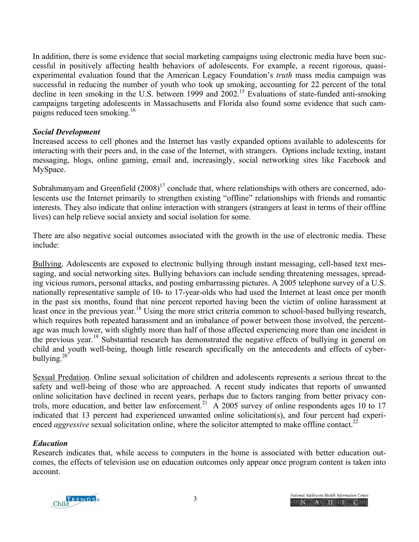In addition, there is some evidence that social marketing campaigns using electronic media have been successful in positively affecting health behaviors of adolescents. For example, a recent rigorous, quasiexperimental evaluation found that the American Legacy Foundation's *truth* mass media campaign was successful in reducing the number of youth who took up smoking, accounting for 22 percent of the total decline in teen smoking in the U.S. between 1999 and 2002.<sup>15</sup> Evaluations of state-funded anti-smoking campaigns targeting adolescents in Massachusetts and Florida also found some evidence that such campaigns reduced teen smoking.<sup>16</sup>

### *Social Development*

Increased access to cell phones and the Internet has vastly expanded options available to adolescents for interacting with their peers and, in the case of the Internet, with strangers. Options include texting, instant messaging, blogs, online gaming, email and, increasingly, social networking sites like Facebook and MySpace.

Subrahmanyam and Greenfield  $(2008)^{17}$  conclude that, where relationships with others are concerned, adolescents use the Internet primarily to strengthen existing "offline" relationships with friends and romantic interests. They also indicate that online interaction with strangers (strangers at least in terms of their offline lives) can help relieve social anxiety and social isolation for some.

There are also negative social outcomes associated with the growth in the use of electronic media. These include:

Bullying. Adolescents are exposed to electronic bullying through instant messaging, cell-based text messaging, and social networking sites. Bullying behaviors can include sending threatening messages, spreading vicious rumors, personal attacks, and posting embarrassing pictures. A 2005 telephone survey of a U.S. nationally representative sample of 10- to 17-year-olds who had used the Internet at least once per month in the past six months, found that nine percent reported having been the victim of online harassment at least once in the previous year.<sup>18</sup> Using the more strict criteria common to school-based bullying research, which requires both repeated harassment and an imbalance of power between those involved, the percentage was much lower, with slightly more than half of those affected experiencing more than one incident in the previous year.19 Substantial research has demonstrated the negative effects of bullying in general on child and youth well-being, though little research specifically on the antecedents and effects of cyberbullying. $20^{2}$ 

Sexual Predation. Online sexual solicitation of children and adolescents represents a serious threat to the safety and well-being of those who are approached. A recent study indicates that reports of unwanted online solicitation have declined in recent years, perhaps due to factors ranging from better privacy controls, more education, and better law enforcement.<sup>21</sup> A 2005 survey of online respondents ages 10 to 17 indicated that 13 percent had experienced unwanted online solicitation(s), and four percent had experienced *aggressive* sexual solicitation online, where the solicitor attempted to make offline contact.<sup>22</sup>

### *Education*

Research indicates that, while access to computers in the home is associated with better education outcomes, the effects of television use on education outcomes only appear once program content is taken into account.

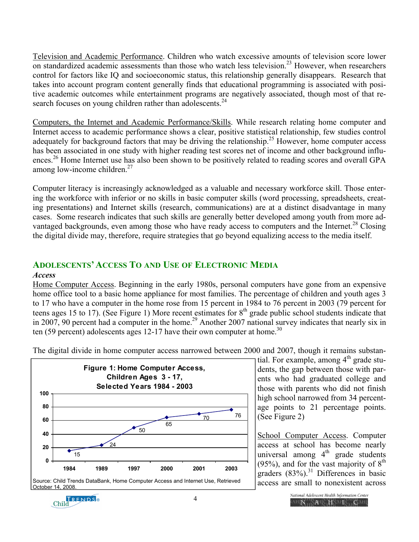Television and Academic Performance. Children who watch excessive amounts of television score lower on standardized academic assessments than those who watch less television.<sup>23</sup> However, when researchers control for factors like IQ and socioeconomic status, this relationship generally disappears. Research that takes into account program content generally finds that educational programming is associated with positive academic outcomes while entertainment programs are negatively associated, though most of that research focuses on young children rather than adolescents.<sup>24</sup>

Computers, the Internet and Academic Performance/Skills. While research relating home computer and Internet access to academic performance shows a clear, positive statistical relationship, few studies control adequately for background factors that may be driving the relationship.<sup>25</sup> However, home computer access has been associated in one study with higher reading test scores net of income and other background influences.<sup>26</sup> Home Internet use has also been shown to be positively related to reading scores and overall GPA among low-income children.<sup>27</sup>

Computer literacy is increasingly acknowledged as a valuable and necessary workforce skill. Those entering the workforce with inferior or no skills in basic computer skills (word processing, spreadsheets, creating presentations) and Internet skills (research, communications) are at a distinct disadvantage in many cases. Some research indicates that such skills are generally better developed among youth from more advantaged backgrounds, even among those who have ready access to computers and the Internet.<sup>28</sup> Closing the digital divide may, therefore, require strategies that go beyond equalizing access to the media itself.

# **ADOLESCENTS' ACCESS TO AND USE OF ELECTRONIC MEDIA**

### *Access*

Home Computer Access. Beginning in the early 1980s, personal computers have gone from an expensive home office tool to a basic home appliance for most families. The percentage of children and youth ages 3 to 17 who have a computer in the home rose from 15 percent in 1984 to 76 percent in 2003 (79 percent for teens ages 15 to 17). (See Figure 1) More recent estimates for  $8<sup>th</sup>$  grade public school students indicate that in 2007, 90 percent had a computer in the home.<sup>29</sup> Another 2007 national survey indicates that nearly six in ten (59 percent) adolescents ages 12-17 have their own computer at home.<sup>30</sup>



The digital divide in home computer access narrowed between 2000 and 2007, though it remains substan-

tial. For example, among  $4<sup>th</sup>$  grade students, the gap between those with parents who had graduated college and those with parents who did not finish high school narrowed from 34 percentage points to 21 percentage points. (See Figure 2)

School Computer Access. Computer access at school has become nearly universal among  $4<sup>th</sup>$  grade students (95%), and for the vast majority of  $8<sup>th</sup>$ graders  $(83%)$ .<sup>31</sup> Differences in basic access are small to nonexistent across



4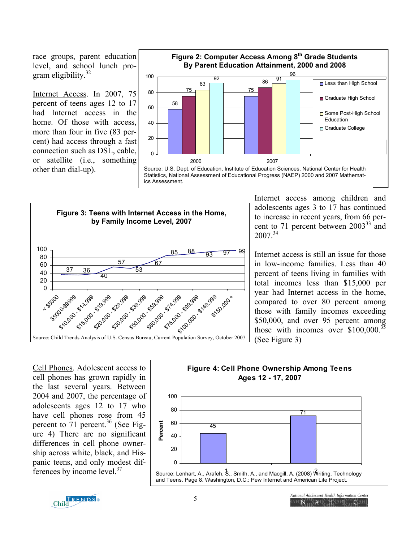race groups, parent education level, and school lunch program eligibility.<sup>32</sup>

Internet Access. In 2007, 75 percent of teens ages 12 to 17 had Internet access in the home. Of those with access, more than four in five (83 percent) had access through a fast connection such as DSL, cable, or satellite (i.e., something other than dial-up).



Source: U.S. Dept. of Education, Institute of Education Sciences, National Center for Health Statistics, National Assessment of Educational Progress (NAEP) 2000 and 2007 Mathematics Assessment.



Internet access among children and adolescents ages 3 to 17 has continued to increase in recent years, from 66 percent to 71 percent between 2003<sup>33</sup> and  $2007^{34}$ 

Internet access is still an issue for those in low-income families. Less than 40 percent of teens living in families with total incomes less than \$15,000 per year had Internet access in the home, compared to over 80 percent among those with family incomes exceeding \$50,000, and over 95 percent among those with incomes over  $$100,000.<sup>35</sup>$ (See Figure 3)

Cell Phones. Adolescent access to cell phones has grown rapidly in the last several years. Between 2004 and 2007, the percentage of adolescents ages 12 to 17 who have cell phones rose from 45 percent to  $71$  percent.<sup>36</sup> (See Figure 4) There are no significant differences in cell phone ownership across white, black, and Hispanic teens, and only modest differences by income level.<sup>37</sup>



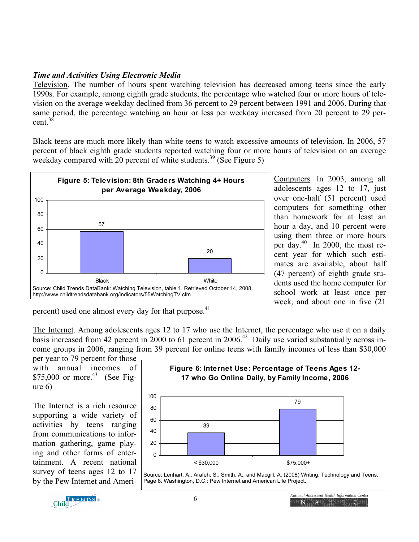# *Time and Activities Using Electronic Media*

Television. The number of hours spent watching television has decreased among teens since the early 1990s. For example, among eighth grade students, the percentage who watched four or more hours of television on the average weekday declined from 36 percent to 29 percent between 1991 and 2006. During that same period, the percentage watching an hour or less per weekday increased from 20 percent to 29 percent.38

Black teens are much more likely than white teens to watch excessive amounts of television. In 2006, 57 percent of black eighth grade students reported watching four or more hours of television on an average weekday compared with 20 percent of white students.<sup>39</sup> (See Figure 5)



Computers. In 2003, among all adolescents ages 12 to 17, just over one-half (51 percent) used computers for something other than homework for at least an hour a day, and 10 percent were using them three or more hours per day.40 In 2000, the most recent year for which such estimates are available, about half (47 percent) of eighth grade students used the home computer for school work at least once per week, and about one in five (21

percent) used one almost every day for that purpose.<sup>41</sup>

The Internet. Among adolescents ages 12 to 17 who use the Internet, the percentage who use it on a daily basis increased from 42 percent in  $2000$  to 61 percent in  $2006<sup>42</sup>$  Daily use varied substantially across income groups in 2006, ranging from 39 percent for online teens with family incomes of less than \$30,000

per year to 79 percent for those with annual incomes of  $$75,000$  or more.<sup>43</sup> (See Figure 6)

The Internet is a rich resource supporting a wide variety of activities by teens ranging from communications to information gathering, game playing and other forms of entertainment. A recent national survey of teens ages 12 to 17 by the Pew Internet and Ameri-



Page 8. Washington, D.C.: Pew Internet and American Life Project.

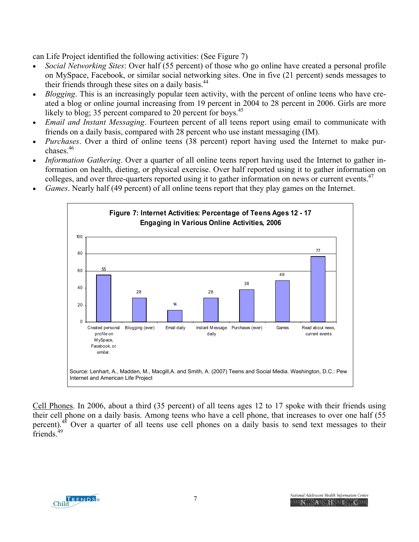can Life Project identified the following activities: (See Figure 7)

- *Social Networking Sites*: Over half (55 percent) of those who go online have created a personal profile on MySpace, Facebook, or similar social networking sites. One in five (21 percent) sends messages to their friends through these sites on a daily basis.<sup>44</sup>
- *Blogging*. This is an increasingly popular teen activity, with the percent of online teens who have created a blog or online journal increasing from 19 percent in 2004 to 28 percent in 2006. Girls are more likely to blog; 35 percent compared to 20 percent for boys.<sup>45</sup>
- *Email and Instant Messaging*. Fourteen percent of all teens report using email to communicate with friends on a daily basis, compared with 28 percent who use instant messaging (IM).
- *Purchases*. Over a third of online teens (38 percent) report having used the Internet to make purchases $46$
- *Information Gathering*. Over a quarter of all online teens report having used the Internet to gather information on health, dieting, or physical exercise. Over half reported using it to gather information on colleges, and over three-quarters reported using it to gather information on news or current events.<sup>47</sup>
- *Games*. Nearly half (49 percent) of all online teens report that they play games on the Internet.



Cell Phones. In 2006, about a third (35 percent) of all teens ages 12 to 17 spoke with their friends using their cell phone on a daily basis. Among teens who have a cell phone, that increases to over one half (55 percent).<sup>48</sup> Over a quarter of all teens use cell phones on a daily basis to send text messages to their friends.<sup>49</sup>

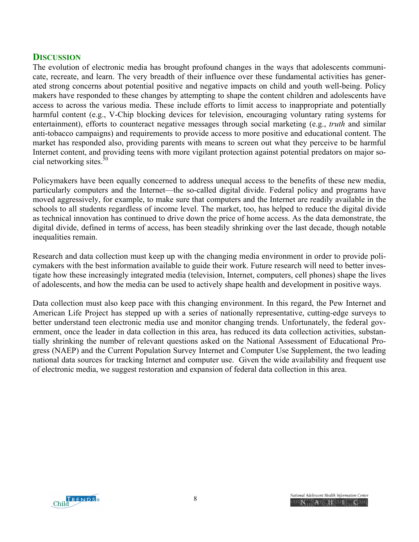# **DISCUSSION**

The evolution of electronic media has brought profound changes in the ways that adolescents communicate, recreate, and learn. The very breadth of their influence over these fundamental activities has generated strong concerns about potential positive and negative impacts on child and youth well-being. Policy makers have responded to these changes by attempting to shape the content children and adolescents have access to across the various media. These include efforts to limit access to inappropriate and potentially harmful content (e.g., V-Chip blocking devices for television, encouraging voluntary rating systems for entertainment), efforts to counteract negative messages through social marketing (e.g., *truth* and similar anti-tobacco campaigns) and requirements to provide access to more positive and educational content. The market has responded also, providing parents with means to screen out what they perceive to be harmful Internet content, and providing teens with more vigilant protection against potential predators on major social networking sites. $50$ 

Policymakers have been equally concerned to address unequal access to the benefits of these new media, particularly computers and the Internet—the so-called digital divide. Federal policy and programs have moved aggressively, for example, to make sure that computers and the Internet are readily available in the schools to all students regardless of income level. The market, too, has helped to reduce the digital divide as technical innovation has continued to drive down the price of home access. As the data demonstrate, the digital divide, defined in terms of access, has been steadily shrinking over the last decade, though notable inequalities remain.

Research and data collection must keep up with the changing media environment in order to provide policymakers with the best information available to guide their work. Future research will need to better investigate how these increasingly integrated media (television, Internet, computers, cell phones) shape the lives of adolescents, and how the media can be used to actively shape health and development in positive ways.

Data collection must also keep pace with this changing environment. In this regard, the Pew Internet and American Life Project has stepped up with a series of nationally representative, cutting-edge surveys to better understand teen electronic media use and monitor changing trends. Unfortunately, the federal government, once the leader in data collection in this area, has reduced its data collection activities, substantially shrinking the number of relevant questions asked on the National Assessment of Educational Progress (NAEP) and the Current Population Survey Internet and Computer Use Supplement, the two leading national data sources for tracking Internet and computer use. Given the wide availability and frequent use of electronic media, we suggest restoration and expansion of federal data collection in this area.

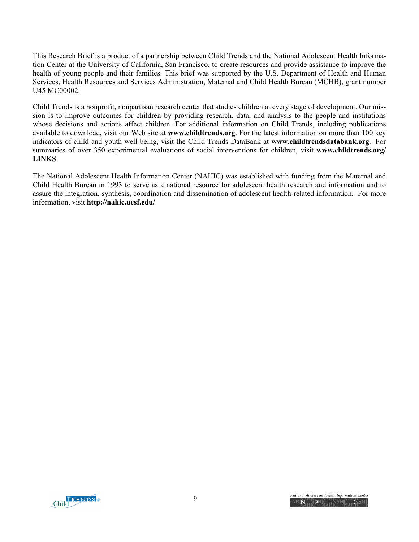This Research Brief is a product of a partnership between Child Trends and the National Adolescent Health Information Center at the University of California, San Francisco, to create resources and provide assistance to improve the health of young people and their families. This brief was supported by the U.S. Department of Health and Human Services, Health Resources and Services Administration, Maternal and Child Health Bureau (MCHB), grant number U45 MC00002.

Child Trends is a nonprofit, nonpartisan research center that studies children at every stage of development. Our mission is to improve outcomes for children by providing research, data, and analysis to the people and institutions whose decisions and actions affect children. For additional information on Child Trends, including publications available to download, visit our Web site at **www.childtrends.org**. For the latest information on more than 100 key indicators of child and youth well-being, visit the Child Trends DataBank at **www.childtrendsdatabank.org**. For summaries of over 350 experimental evaluations of social interventions for children, visit **www.childtrends.org/ LINKS**.

The National Adolescent Health Information Center (NAHIC) was established with funding from the Maternal and Child Health Bureau in 1993 to serve as a national resource for adolescent health research and information and to assure the integration, synthesis, coordination and dissemination of adolescent health-related information. For more information, visit **http://nahic.ucsf.edu/**

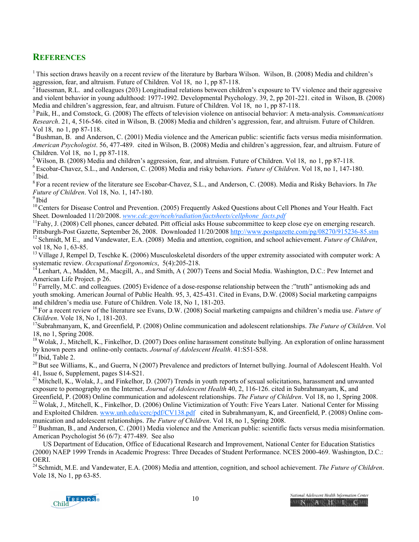# **REFERENCES**

<sup>1</sup> This section draws heavily on a recent review of the literature by Barbara Wilson. Wilson, B. (2008) Media and children's aggression, fear, and altruism. Future of Children. Vol 18, no 1, pp 87-118.

<sup>2</sup> Huessman, R.L. and colleagues (203) Longitudinal relations between children's exposure to TV violence and their aggressive and violent behavior in young adulthood: 1977-1992. Developmental Psychology. 39, 2, pp 201-221. cited in Wilson, B. (2008)<br>Media and children's aggression, fear, and altruism. Future of Children. Vol 18, no 1, pp 87-118.

<sup>3</sup> Paik, H., and Comstock, G. (2008) The effects of television violence on antisocial behavior: A meta-analysis. Communications *Research*. 21, 4, 516-546. cited in Wilson, B. (2008) Media and children's aggression, fear, and altruism. Future of Children. Vol 18, no 1, pp 87-118.

4 Bushman, B. and Anderson, C. (2001) Media violence and the American public: scientific facts versus media misinformation. *American Psychologist*. 56, 477-489. cited in Wilson, B. (2008) Media and children's aggression, fear, and altruism. Future of Children. Vol 18, no 1, pp 87-118.

<sup>5</sup> Wilson, B. (2008) Media and children's aggression, fear, and altruism. Future of Children. Vol 18, no 1, pp 87-118.<br><sup>6</sup> Escobar-Chavez, S.L., and Anderson, C. (2008) Media and risky behaviors. *Future of Children*. Vo

8 For a recent review of the literature see Escobar-Chavez, S.L., and Anderson, C. (2008). Media and Risky Behaviors. In *The Future of Children*. Vol 18, No. 1, 147-180.<br><sup>9</sup> Ibid

<sup>10</sup> Centers for Disease Control and Prevention. (2005) Frequently Asked Questions about Cell Phones and Your Health. Fact Sheet. Downloaded 11/20/2008. www.cdc.gov/nceh/radiation/factsheets/cellphone facts.pdf

<sup>11</sup>Fahy, J. (2008) Cell phones, cancer debated. Pitt official asks House subcommittee to keep close eye on emerging research.<br>Pittsburgh-Post Gazette, September 26, 2008. Downloaded 11/20/2008 http://www.postgazette.com/p <sup>12</sup> Schmidt, M E., and Vandewater, E.A. (2008) Media and attention, cognition, and school achievement. Future of Children, vol 18, No 1, 63-85.

<sup>13</sup> Village J, Rempel D, Teschke K. (2006) Musculoskeletal disorders of the upper extremity associated with computer work: A systematic review. *Occupational Ergonomics*, 5(4):205-218.<br><sup>14</sup> Lenhart, A., Madden, M., Macgill, A., and Smith, A ( 2007) Teens and Social Media. Washington, D.C.: Pew Internet and

American Life Project. p 26.

<sup>15</sup> Farrelly, M.C. and colleagues. (2005) Evidence of a dose-response relationship between the :"truth" antismoking ads and youth smoking. American Journal of Public Health. 95, 3, 425-431. Cited in Evans, D.W. (2008) Social marketing campaigns and children's media use. Future of Children. Vole 18, No 1, 181-203.

16 For a recent review of the literature see Evans, D.W. (2008) Social marketing campaigns and children's media use. *Future of Children*. Vole 18, No 1, 181-203.<br><sup>17</sup>Subrahmanyam, K, and Greenfield, P. (2008) Online communication and adolescent relationships. *The Future of Children*. Vol

18, no 1, Spring 2008.

<sup>18</sup> Wolak, J., Mitchell, K., Finkelhor, D. (2007) Does online harassment constitute bullying. An exploration of online harassment by known peers and online-only contacts. Journal of Adolescent Health. 41:S51-S58.<br><sup>19</sup> Ibid, Table 2.<br><sup>20</sup> But see Williams, K., and Guerra, N (2007) Prevalence and predictors of Internet bullying. Journal of Adolescent H

41, Issue 6, Supplement, pages S14-S21.

 $^{21}$  Mitchell, K., Wolak, J., and Finkelhor, D. (2007) Trends in youth reports of sexual solicitations, harassment and unwanted exposure to pornography on the Internet. *Journal of Adolescent Health* 40, 2, 116-126. cited in Subrahmanyam, K, and

Greenfield, P. (2008) Online communication and adolescent relationships. The Future of Children. Vol 18, no 1, Spring 2008.<br><sup>22</sup> Wolak, J., Mitchell, K., Finkelhor, D. (2006) Online Victimization of Youth: Five Years Later and Exploited Children. www.unh.edu/ccrc/pdf/CV138.pdf cited in Subrahmanyam, K, and Greenfield, P. (2008) Online communication and adolescent relationships. *The Future of Children*. Vol 18, no 1, Spring 2008.<br><sup>23</sup> Bushman, B., and Anderson, C. (2001) Media violence and the American public: scientific facts versus media misinformation.

American Psychologist 56 (6/7): 477-489. See also

 US Department of Education, Office of Educational Research and Improvement, National Center for Education Statistics (2000) NAEP 1999 Trends in Academic Progress: Three Decades of Student Performance. NCES 2000-469. Washington, D.C.: OERI.

24 Schmidt, M.E. and Vandewater, E.A. (2008) Media and attention, cognition, and school achievement. *The Future of Children*. Vole 18, No 1, pp 63-85.